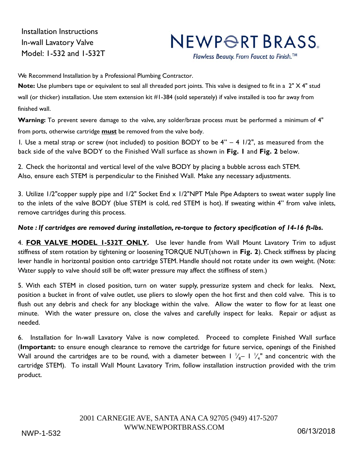Installation Instructions In-wall Lavatory Valve Model: 1-532 and 1-532T

## NEWPORT BRASS

Flawless Beauty. From Faucet to Finish.™

We Recommend Installation by a Professional Plumbing Contractor.

**Note:** Use plumbers tape or equivalent to seal all threaded port joints. This valve is designed to fit in a 2" X 4" stud wall (or thicker) installation. Use stem extension kit #1-384 (sold seperately) if valve installed is too far away from finished wall.

**Warning:** To prevent severe damage to the valve, any solder/braze process must be performed a minimum of 4" from ports, otherwise cartridge **must** be removed from the valve body.

1. Use a metal strap or screw (not included) to position BODY to be  $4" - 4$  1/2", as measured from the back side of the valve BODY to the Finished Wall surface as shown in **Fig. 1** and **Fig. 2** below.

2. Check the horizontal and vertical level of the valve BODY by placing a bubble across each STEM. Also, ensure each STEM is perpendicular to the Finished Wall. Make any necessary adjustments.

3. Utilize 1/2"copper supply pipe and 1/2" Socket End x 1/2"NPT Male Pipe Adapters to sweat water supply line to the inlets of the valve BODY (blue STEM is cold, red STEM is hot). If sweating within 4" from valve inlets, remove cartridges during this process.

## *Note : If cartridges are removed during installation, re-torque to factory specification of 14-16 ft-lbs.*

4. **FOR VALVE MODEL 1-532T ONLY.** Use lever handle from Wall Mount Lavatory Trim to adjust stiffness of stem rotation by tightening or loosening TORQUE NUT (shown in **Fig. 2**). Check stiffness by placing lever handle in horizontal position onto cartridge STEM. Handle should not rotate under its own weight. (Note: Water supply to valve should still be off; water pressure may affect the stiffness of stem.)

5. With each STEM in closed position, turn on water supply, pressurize system and check for leaks. Next, position a bucket in front of valve outlet, use pliers to slowly open the hot first and then cold valve. This is to flush out any debris and check for any blockage within the valve. Allow the water to flow for at least one minute. With the water pressure on, close the valves and carefully inspect for leaks. Repair or adjust as needed.

6. Installation for In-wall Lavatory Valve is now completed. Proceed to complete Finished Wall surface (**Important:** to ensure enough clearance to remove the cartridge for future service, openings of the Finished Wall around the cartridges are to be round, with a diameter between 1  $\frac{1}{8}$ – 1  $\frac{1}{4}$ " and concentric with the cartridge STEM). To install Wall Mount Lavatory Trim, follow installation instruction provided with the trim product.